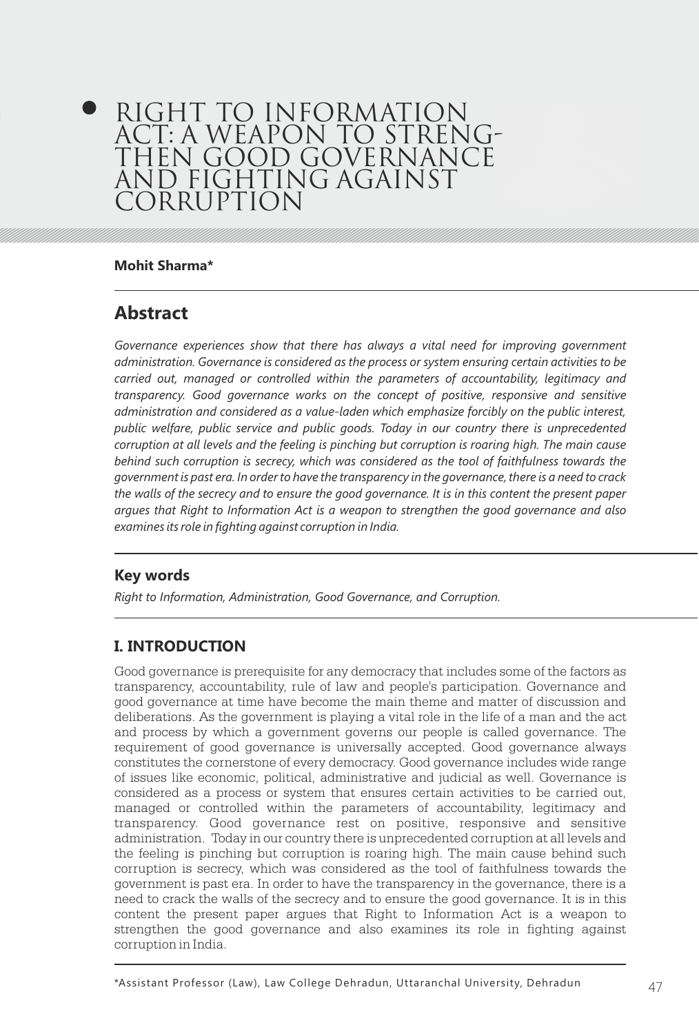# RIGHT TO INFORMATION ACT: A WEAPON TO STRENG-THEN GOOD GOVERNANCE AND FIGHTING AGAINST **CORRUPTION**

#### **Mohit Sharma\***

# **Abstract**

*Governance experiences show that there has always a vital need for improving government administration. Governance is considered as the process or system ensuring certain activities to be*  carried out, managed or controlled within the parameters of accountability, legitimacy and *transparency. Good governance works on the concept of positive, responsive and sensitive administration and considered as a value-laden which emphasize forcibly on the public interest, public welfare, public service and public goods. Today in our country there is unprecedented corruption at all levels and the feeling is pinching but corruption is roaring high. The main cause behind such corruption is secrecy, which was considered as the tool of faithfulness towards the government is past era. In order to have the transparency in the governance, there is a need to crack the walls of the secrecy and to ensure the good governance. It is in this content the present paper argues that Right to Information Act is a weapon to strengthen the good governance and also examines its role in fighting against corruption in India.*

### **Key words**

*Right to Information, Administration, Good Governance, and Corruption.*

# **I. INTRODUCTION**

Good governance is prerequisite for any democracy that includes some of the factors as transparency, accountability, rule of law and people's participation. Governance and good governance at time have become the main theme and matter of discussion and deliberations. As the government is playing a vital role in the life of a man and the act and process by which a government governs our people is called governance. The requirement of good governance is universally accepted. Good governance always constitutes the cornerstone of every democracy. Good governance includes wide range of issues like economic, political, administrative and judicial as well. Governance is considered as a process or system that ensures certain activities to be carried out, managed or controlled within the parameters of accountability, legitimacy and transparency. Good governance rest on positive, responsive and sensitive administration. Today in our country there is unprecedented corruption at all levels and the feeling is pinching but corruption is roaring high. The main cause behind such corruption is secrecy, which was considered as the tool of faithfulness towards the government is past era. In order to have the transparency in the governance, there is a need to crack the walls of the secrecy and to ensure the good governance. It is in this content the present paper argues that Right to Information Act is a weapon to strengthen the good governance and also examines its role in fighting against corruption in India.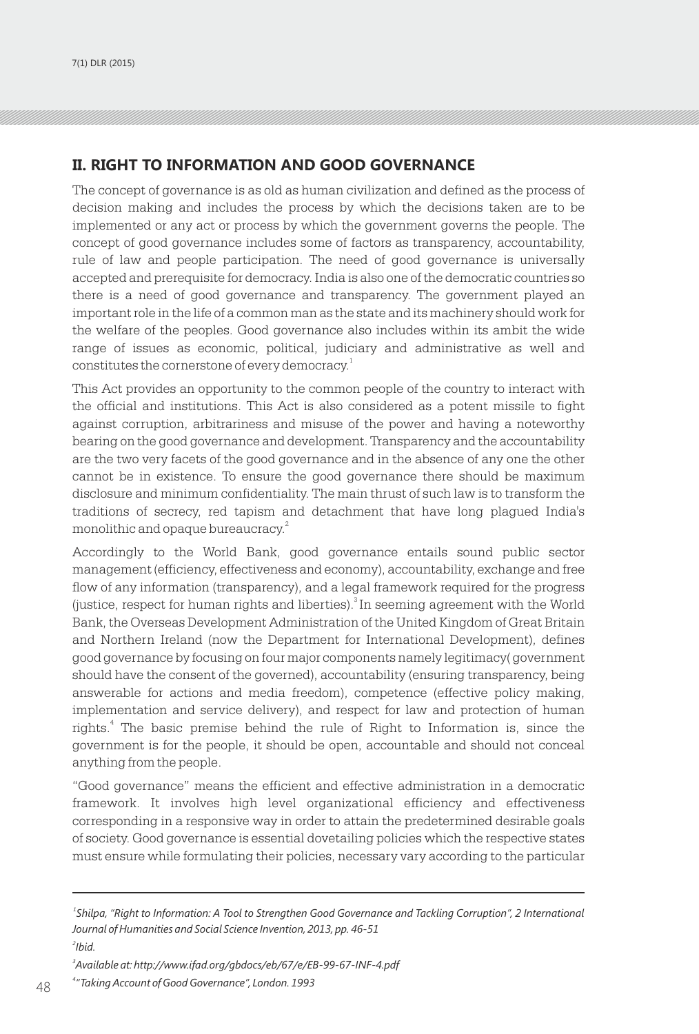## **II. RIGHT TO INFORMATION AND GOOD GOVERNANCE**

The concept of governance is as old as human civilization and defined as the process of decision making and includes the process by which the decisions taken are to be implemented or any act or process by which the government governs the people. The concept of good governance includes some of factors as transparency, accountability, rule of law and people participation. The need of good governance is universally accepted and prerequisite for democracy. India is also one of the democratic countries so there is a need of good governance and transparency. The government played an important role in the life of a common man as the state and its machinery should work for the welfare of the peoples. Good governance also includes within its ambit the wide range of issues as economic, political, judiciary and administrative as well and constitutes the cornerstone of every democracy.<sup>1</sup>

This Act provides an opportunity to the common people of the country to interact with the official and institutions. This Act is also considered as a potent missile to fight against corruption, arbitrariness and misuse of the power and having a noteworthy bearing on the good governance and development. Transparency and the accountability are the two very facets of the good governance and in the absence of any one the other cannot be in existence. To ensure the good governance there should be maximum disclosure and minimum confidentiality. The main thrust of such law is to transform the traditions of secrecy, red tapism and detachment that have long plagued India's monolithic and opaque bureaucracy.<sup>2</sup>

Accordingly to the World Bank, good governance entails sound public sector management (efficiency, effectiveness and economy), accountability, exchange and free flow of any information (transparency), and a legal framework required for the progress (justice, respect for human rights and liberties). ${}^{3}$  In seeming agreement with the World Bank, the Overseas Development Administration of the United Kingdom of Great Britain and Northern Ireland (now the Department for International Development), defines good governance by focusing on four major components namely legitimacy( government should have the consent of the governed), accountability (ensuring transparency, being answerable for actions and media freedom), competence (effective policy making, implementation and service delivery), and respect for law and protection of human rights.<sup>4</sup> The basic premise behind the rule of Right to Information is, since the government is for the people, it should be open, accountable and should not conceal anything from the people.

"Good governance" means the efficient and effective administration in a democratic framework. It involves high level organizational efficiency and effectiveness corresponding in a responsive way in order to attain the predetermined desirable goals of society. Good governance is essential dovetailing policies which the respective states must ensure while formulating their policies, necessary vary according to the particular

*<sup>1</sup> Shilpa, "Right to Information: A Tool to Strengthen Good Governance and Tackling Corruption", 2 International Journal of Humanities and Social Science Invention, 2013, pp. 46-51 2 Ibid.*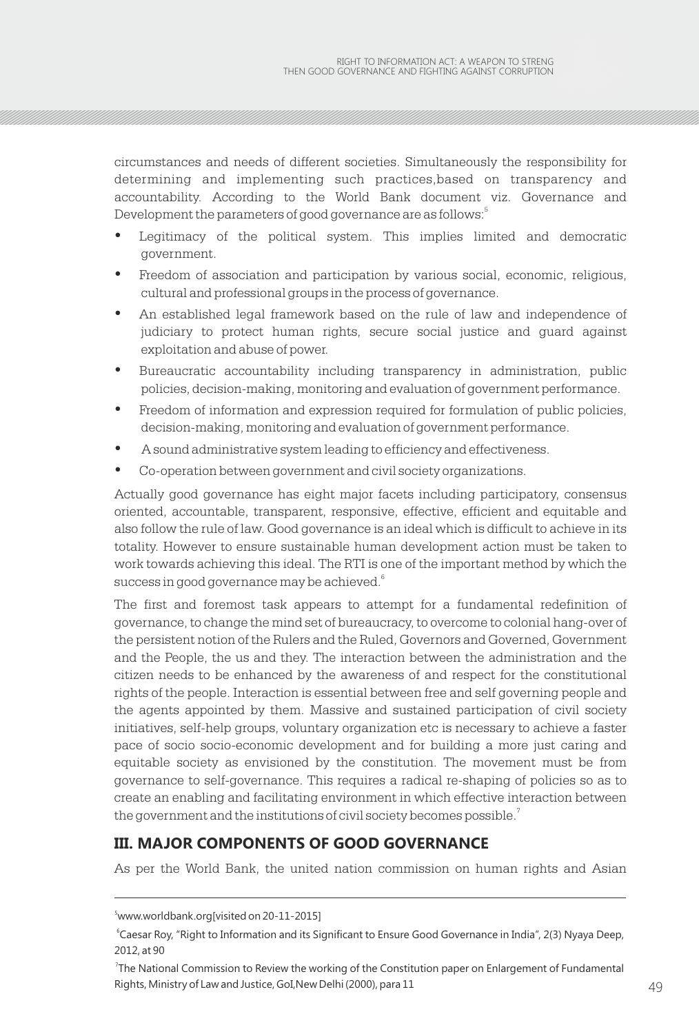circumstances and needs of different societies. Simultaneously the responsibility for determining and implementing such practices,based on transparency and accountability. According to the World Bank document viz. Governance and Development the parameters of good governance are as follows:<sup>5</sup>

- Legitimacy of the political system. This implies limited and democratic government.
- Freedom of association and participation by various social, economic, religious, cultural and professional groups in the process of governance.
- An established legal framework based on the rule of law and independence of judiciary to protect human rights, secure social justice and guard against exploitation and abuse of power.
- Bureaucratic accountability including transparency in administration, public policies, decision-making, monitoring and evaluation of government performance.
- Freedom of information and expression required for formulation of public policies, decision-making, monitoring and evaluation of government performance.
- A sound administrative system leading to efficiency and effectiveness.
- Co-operation between government and civil society organizations.

Actually good governance has eight major facets including participatory, consensus oriented, accountable, transparent, responsive, effective, efficient and equitable and also follow the rule of law. Good governance is an ideal which is difficult to achieve in its totality. However to ensure sustainable human development action must be taken to work towards achieving this ideal. The RTI is one of the important method by which the success in good governance may be achieved. $^{\mathrm{6}}$ 

The first and foremost task appears to attempt for a fundamental redefinition of governance, to change the mind set of bureaucracy, to overcome to colonial hang-over of the persistent notion of the Rulers and the Ruled, Governors and Governed, Government and the People, the us and they. The interaction between the administration and the citizen needs to be enhanced by the awareness of and respect for the constitutional rights of the people. Interaction is essential between free and self governing people and the agents appointed by them. Massive and sustained participation of civil society initiatives, self-help groups, voluntary organization etc is necessary to achieve a faster pace of socio socio-economic development and for building a more just caring and equitable society as envisioned by the constitution. The movement must be from governance to self-governance. This requires a radical re-shaping of policies so as to create an enabling and facilitating environment in which effective interaction between the government and the institutions of civil society becomes possible. $^{7}$ 

### **III. MAJOR COMPONENTS OF GOOD GOVERNANCE**

As per the World Bank, the united nation commission on human rights and Asian

 $5$ www.worldbank.org[visited on 20-11-2015]

<sup>6</sup> Caesar Roy, "Right to Information and its Significant to Ensure Good Governance in India", 2(3) Nyaya Deep, 2012, at 90

<sup>48</sup> 49 Rights, Ministry of Law and Justice, GoI,New Delhi (2000), para 11 7 The National Commission to Review the working of the Constitution paper on Enlargement of Fundamental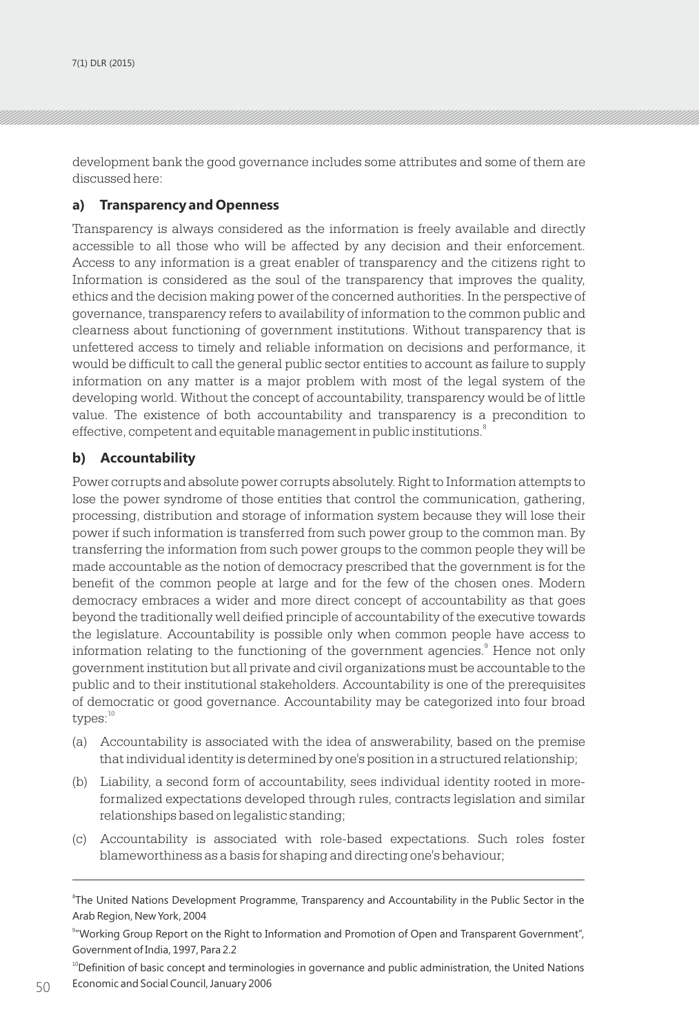development bank the good governance includes some attributes and some of them are discussed here:

#### **a) Transparency and Openness**

Transparency is always considered as the information is freely available and directly accessible to all those who will be affected by any decision and their enforcement. Access to any information is a great enabler of transparency and the citizens right to Information is considered as the soul of the transparency that improves the quality, ethics and the decision making power of the concerned authorities. In the perspective of governance, transparency refers to availability of information to the common public and clearness about functioning of government institutions. Without transparency that is unfettered access to timely and reliable information on decisions and performance, it would be difficult to call the general public sector entities to account as failure to supply information on any matter is a major problem with most of the legal system of the developing world. Without the concept of accountability, transparency would be of little value. The existence of both accountability and transparency is a precondition to effective, competent and equitable management in public institutions. $^{\mathrm{s}}$ 

#### **b) Accountability**

Power corrupts and absolute power corrupts absolutely. Right to Information attempts to lose the power syndrome of those entities that control the communication, gathering, processing, distribution and storage of information system because they will lose their power if such information is transferred from such power group to the common man. By transferring the information from such power groups to the common people they will be made accountable as the notion of democracy prescribed that the government is for the benefit of the common people at large and for the few of the chosen ones. Modern democracy embraces a wider and more direct concept of accountability as that goes beyond the traditionally well deified principle of accountability of the executive towards the legislature. Accountability is possible only when common people have access to information relating to the functioning of the government agencies.<sup>9</sup> Hence not only government institution but all private and civil organizations must be accountable to the public and to their institutional stakeholders. Accountability is one of the prerequisites of democratic or good governance. Accountability may be categorized into four broad  $t$ vpes: $10$ 

- (a) Accountability is associated with the idea of answerability, based on the premise that individual identity is determined by one's position in a structured relationship;
- (b) Liability, a second form of accountability, sees individual identity rooted in moreformalized expectations developed through rules, contracts legislation and similar relationships based on legalistic standing;
- (c) Accountability is associated with role-based expectations. Such roles foster blameworthiness as a basis for shaping and directing one's behaviour;

 $50$  Economic and Social Council, January 2006  $10D$  Definition of basic concept and terminologies in governance and public administration, the United Nations Economic and Social Council, January 2006

<sup>8</sup> The United Nations Development Programme, Transparency and Accountability in the Public Sector in the Arab Region, New York, 2004

<sup>9</sup> "Working Group Report on the Right to Information and Promotion of Open and Transparent Government", Government of India, 1997, Para 2.2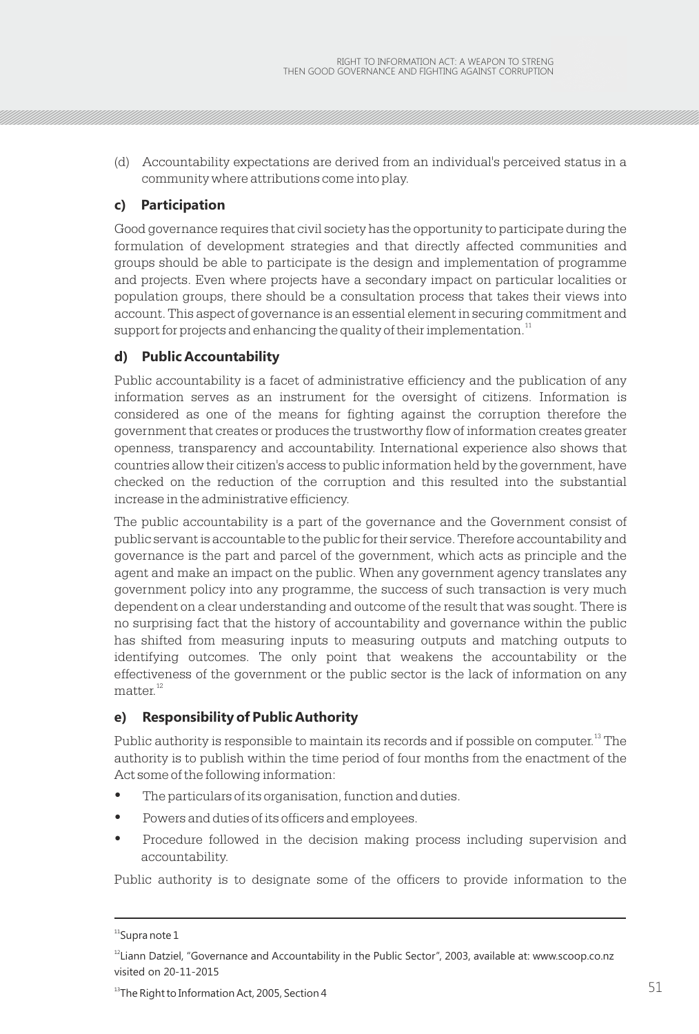(d) Accountability expectations are derived from an individual's perceived status in a community where attributions come into play.

### **c) Participation**

Good governance requires that civil society has the opportunity to participate during the formulation of development strategies and that directly affected communities and groups should be able to participate is the design and implementation of programme and projects. Even where projects have a secondary impact on particular localities or population groups, there should be a consultation process that takes their views into account. This aspect of governance is an essential element in securing commitment and support for projects and enhancing the quality of their implementation. $^{\rm 11}$ 

#### **d) Public Accountability**

Public accountability is a facet of administrative efficiency and the publication of any information serves as an instrument for the oversight of citizens. Information is considered as one of the means for fighting against the corruption therefore the government that creates or produces the trustworthy flow of information creates greater openness, transparency and accountability. International experience also shows that countries allow their citizen's access to public information held by the government, have checked on the reduction of the corruption and this resulted into the substantial increase in the administrative efficiency.

The public accountability is a part of the governance and the Government consist of public servant is accountable to the public for their service. Therefore accountability and governance is the part and parcel of the government, which acts as principle and the agent and make an impact on the public. When any government agency translates any government policy into any programme, the success of such transaction is very much dependent on a clear understanding and outcome of the result that was sought. There is no surprising fact that the history of accountability and governance within the public has shifted from measuring inputs to measuring outputs and matching outputs to identifying outcomes. The only point that weakens the accountability or the effectiveness of the government or the public sector is the lack of information on any  $m$ atter $12$ 

#### **e) Responsibility of Public Authority**

Public authority is responsible to maintain its records and if possible on computer.<sup>13</sup> The authority is to publish within the time period of four months from the enactment of the Act some of the following information:

- The particulars of its organisation, function and duties.
- Powers and duties of its officers and employees.
- Procedure followed in the decision making process including supervision and accountability.

Public authority is to designate some of the officers to provide information to the

 $11$ Supra note 1

<sup>&</sup>lt;sup>12</sup>Liann Datziel, "Governance and Accountability in the Public Sector", 2003, available at: www.scoop.co.nz visited on 20-11-2015

 $^{13}$ The Right to Information Act, 2005, Section 4  $51$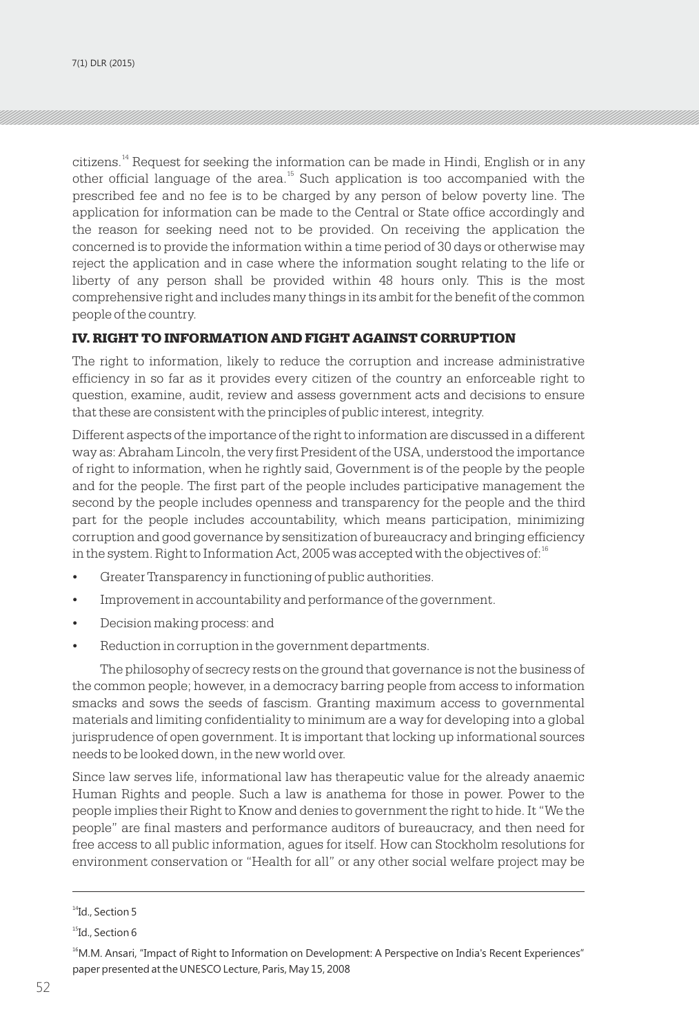citizens. $<sup>14</sup>$  Request for seeking the information can be made in Hindi, English or in any</sup> other official language of the area.<sup>15</sup> Such application is too accompanied with the prescribed fee and no fee is to be charged by any person of below poverty line. The application for information can be made to the Central or State office accordingly and the reason for seeking need not to be provided. On receiving the application the concerned is to provide the information within a time period of 30 days or otherwise may reject the application and in case where the information sought relating to the life or liberty of any person shall be provided within 48 hours only. This is the most comprehensive right and includes many things in its ambit for the benefit of the common people of the country.

#### IV. RIGHT TO INFORMATION AND FIGHT AGAINST CORRUPTION

The right to information, likely to reduce the corruption and increase administrative efficiency in so far as it provides every citizen of the country an enforceable right to question, examine, audit, review and assess government acts and decisions to ensure that these are consistent with the principles of public interest, integrity.

Different aspects of the importance of the right to information are discussed in a different way as: Abraham Lincoln, the very first President of the USA, understood the importance of right to information, when he rightly said, Government is of the people by the people and for the people. The first part of the people includes participative management the second by the people includes openness and transparency for the people and the third part for the people includes accountability, which means participation, minimizing corruption and good governance by sensitization of bureaucracy and bringing efficiency in the system. Right to Information Act, 2005 was accepted with the objectives of: $^{16}$ 

- Greater Transparency in functioning of public authorities.
- Improvement in accountability and performance of the government.
- Decision making process: and
- Reduction in corruption in the government departments.

The philosophy of secrecy rests on the ground that governance is not the business of the common people; however, in a democracy barring people from access to information smacks and sows the seeds of fascism. Granting maximum access to governmental materials and limiting confidentiality to minimum are a way for developing into a global jurisprudence of open government. It is important that locking up informational sources needs to be looked down, in the new world over.

Since law serves life, informational law has therapeutic value for the already anaemic Human Rights and people. Such a law is anathema for those in power. Power to the people implies their Right to Know and denies to government the right to hide. It "We the people" are final masters and performance auditors of bureaucracy, and then need for free access to all public information, agues for itself. How can Stockholm resolutions for environment conservation or "Health for all" or any other social welfare project may be

<sup>&</sup>lt;sup>14</sup>Id., Section 5

<sup>&</sup>lt;sup>15</sup>Id., Section 6

<sup>&</sup>lt;sup>16</sup>M.M. Ansari, "Impact of Right to Information on Development: A Perspective on India's Recent Experiences" paper presented at the UNESCO Lecture, Paris, May 15, 2008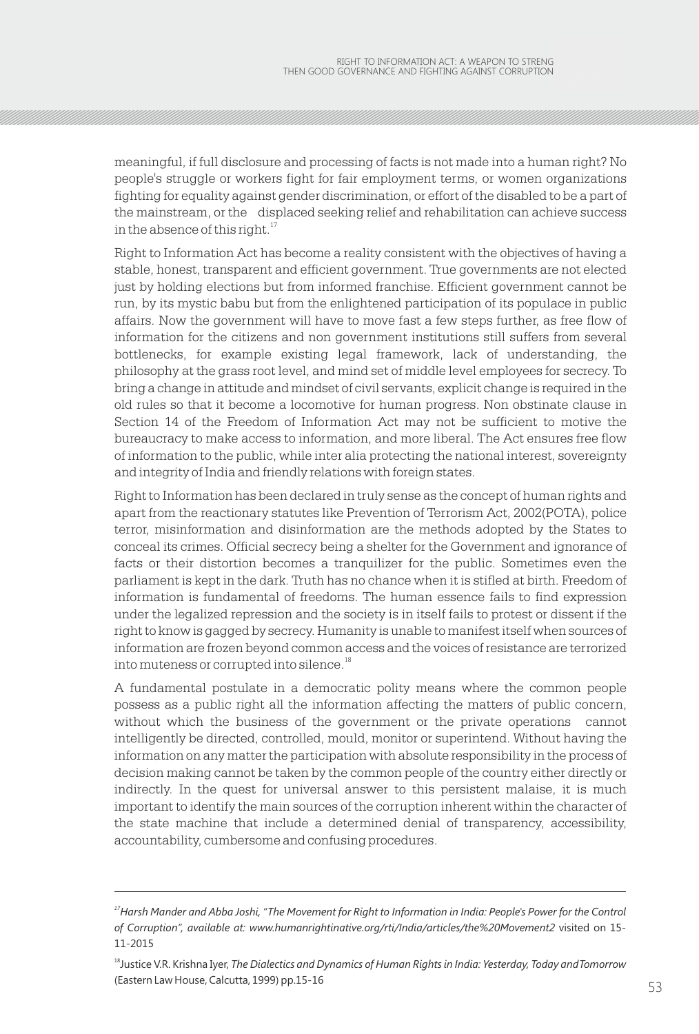meaningful, if full disclosure and processing of facts is not made into a human right? No people's struggle or workers fight for fair employment terms, or women organizations fighting for equality against gender discrimination, or effort of the disabled to be a part of the mainstream, or the displaced seeking relief and rehabilitation can achieve success in the absence of this right. $17$ 

Right to Information Act has become a reality consistent with the objectives of having a stable, honest, transparent and efficient government. True governments are not elected just by holding elections but from informed franchise. Efficient government cannot be run, by its mystic babu but from the enlightened participation of its populace in public affairs. Now the government will have to move fast a few steps further, as free flow of information for the citizens and non government institutions still suffers from several bottlenecks, for example existing legal framework, lack of understanding, the philosophy at the grass root level, and mind set of middle level employees for secrecy. To bring a change in attitude and mindset of civil servants, explicit change is required in the old rules so that it become a locomotive for human progress. Non obstinate clause in Section 14 of the Freedom of Information Act may not be sufficient to motive the bureaucracy to make access to information, and more liberal. The Act ensures free flow of information to the public, while inter alia protecting the national interest, sovereignty and integrity of India and friendly relations with foreign states.

Right to Information has been declared in truly sense as the concept of human rights and apart from the reactionary statutes like Prevention of Terrorism Act, 2002(POTA), police terror, misinformation and disinformation are the methods adopted by the States to conceal its crimes. Official secrecy being a shelter for the Government and ignorance of facts or their distortion becomes a tranquilizer for the public. Sometimes even the parliament is kept in the dark. Truth has no chance when it is stifled at birth. Freedom of information is fundamental of freedoms. The human essence fails to find expression under the legalized repression and the society is in itself fails to protest or dissent if the right to know is gagged by secrecy. Humanity is unable to manifest itself when sources of information are frozen beyond common access and the voices of resistance are terrorized into muteness or corrupted into silence.<sup>18</sup>

A fundamental postulate in a democratic polity means where the common people possess as a public right all the information affecting the matters of public concern, without which the business of the government or the private operations cannot intelligently be directed, controlled, mould, monitor or superintend. Without having the information on any matter the participation with absolute responsibility in the process of decision making cannot be taken by the common people of the country either directly or indirectly. In the quest for universal answer to this persistent malaise, it is much important to identify the main sources of the corruption inherent within the character of the state machine that include a determined denial of transparency, accessibility, accountability, cumbersome and confusing procedures.

*<sup>17</sup>Harsh Mander and Abba Joshi, "The Movement for Right to Information in India: People's Power for the Control of Corruption", available at: www.humanrightinative.org/rti/India/articles/the%20Movement2* visited on 15- 11-2015

<sup>&</sup>lt;sup>18</sup>Justice V.R. Krishna Iyer, *The Dialectics and Dynamics of Human Rights in India: Yesterday, Today and Tomorrow* (Eastern Law House, Calcutta, 1999) pp.15-16  $\frac{1}{2}$  53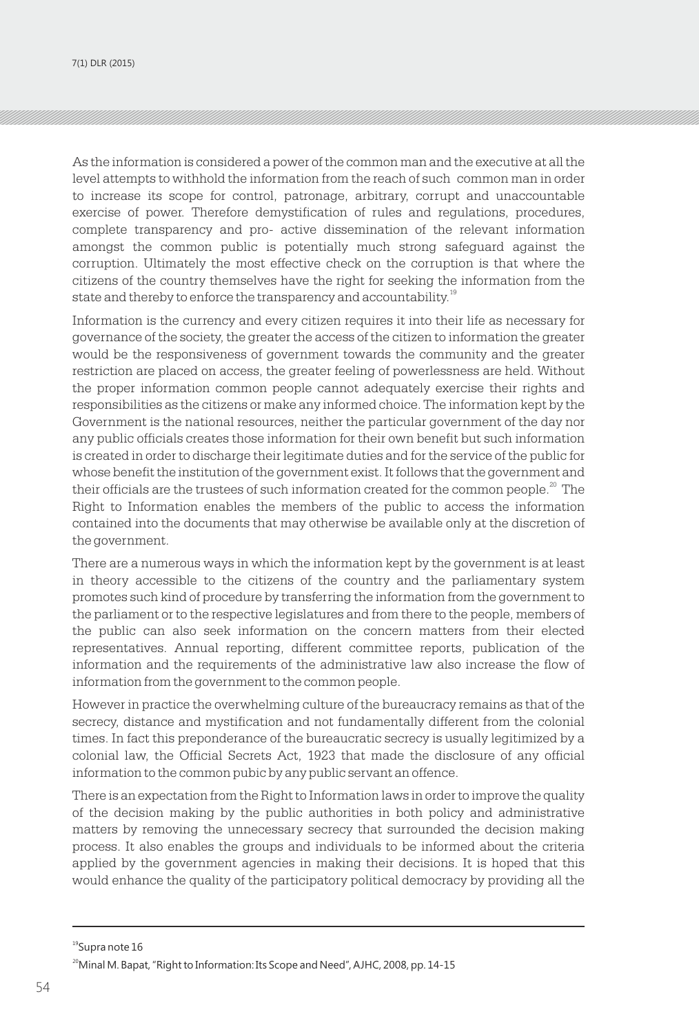7(1) DLR (2015)

As the information is considered a power of the common man and the executive at all the level attempts to withhold the information from the reach of such common man in order to increase its scope for control, patronage, arbitrary, corrupt and unaccountable exercise of power. Therefore demystification of rules and regulations, procedures, complete transparency and pro- active dissemination of the relevant information amongst the common public is potentially much strong safeguard against the corruption. Ultimately the most effective check on the corruption is that where the citizens of the country themselves have the right for seeking the information from the state and thereby to enforce the transparency and accountability.<sup>19</sup>

Information is the currency and every citizen requires it into their life as necessary for governance of the society, the greater the access of the citizen to information the greater would be the responsiveness of government towards the community and the greater restriction are placed on access, the greater feeling of powerlessness are held. Without the proper information common people cannot adequately exercise their rights and responsibilities as the citizens or make any informed choice. The information kept by the Government is the national resources, neither the particular government of the day nor any public officials creates those information for their own benefit but such information is created in order to discharge their legitimate duties and for the service of the public for whose benefit the institution of the government exist. It follows that the government and their officials are the trustees of such information created for the common people.<sup>20</sup> The Right to Information enables the members of the public to access the information contained into the documents that may otherwise be available only at the discretion of the government.

There are a numerous ways in which the information kept by the government is at least in theory accessible to the citizens of the country and the parliamentary system promotes such kind of procedure by transferring the information from the government to the parliament or to the respective legislatures and from there to the people, members of the public can also seek information on the concern matters from their elected representatives. Annual reporting, different committee reports, publication of the information and the requirements of the administrative law also increase the flow of information from the government to the common people.

However in practice the overwhelming culture of the bureaucracy remains as that of the secrecy, distance and mystification and not fundamentally different from the colonial times. In fact this preponderance of the bureaucratic secrecy is usually legitimized by a colonial law, the Official Secrets Act, 1923 that made the disclosure of any official information to the common pubic by any public servant an offence.

There is an expectation from the Right to Information laws in order to improve the quality of the decision making by the public authorities in both policy and administrative matters by removing the unnecessary secrecy that surrounded the decision making process. It also enables the groups and individuals to be informed about the criteria applied by the government agencies in making their decisions. It is hoped that this would enhance the quality of the participatory political democracy by providing all the

<sup>19</sup>Supra note 16

<sup>&</sup>lt;sup>20</sup>Minal M. Bapat, "Right to Information: Its Scope and Need", AJHC, 2008, pp. 14-15